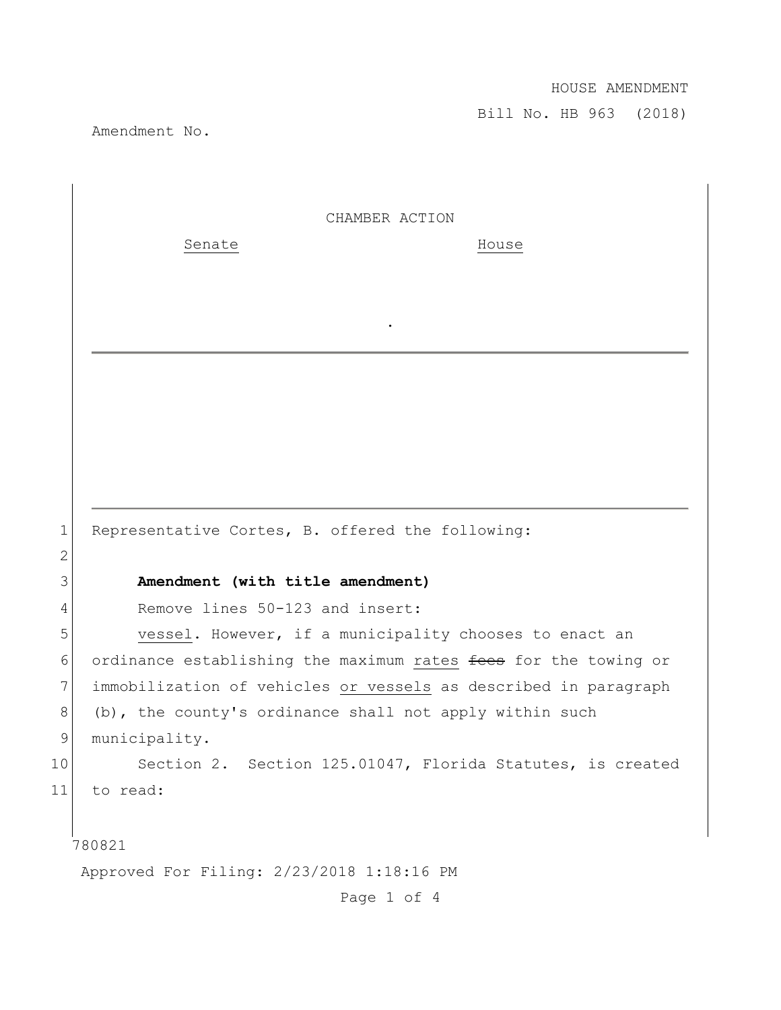Bill No. HB 963 (2018)

Amendment No.

| CHAMBER ACTION |  |
|----------------|--|
|                |  |

.

Senate House

1 Representative Cortes, B. offered the following:

## 3 **Amendment (with title amendment)**

4 Remove lines 50-123 and insert:

5 vessel. However, if a municipality chooses to enact an 6 ordinance establishing the maximum rates fees for the towing or 7 immobilization of vehicles or vessels as described in paragraph  $8$  (b), the county's ordinance shall not apply within such 9 municipality.

10 Section 2. Section 125.01047, Florida Statutes, is created 11 to read:

780821

2

Approved For Filing: 2/23/2018 1:18:16 PM

Page 1 of 4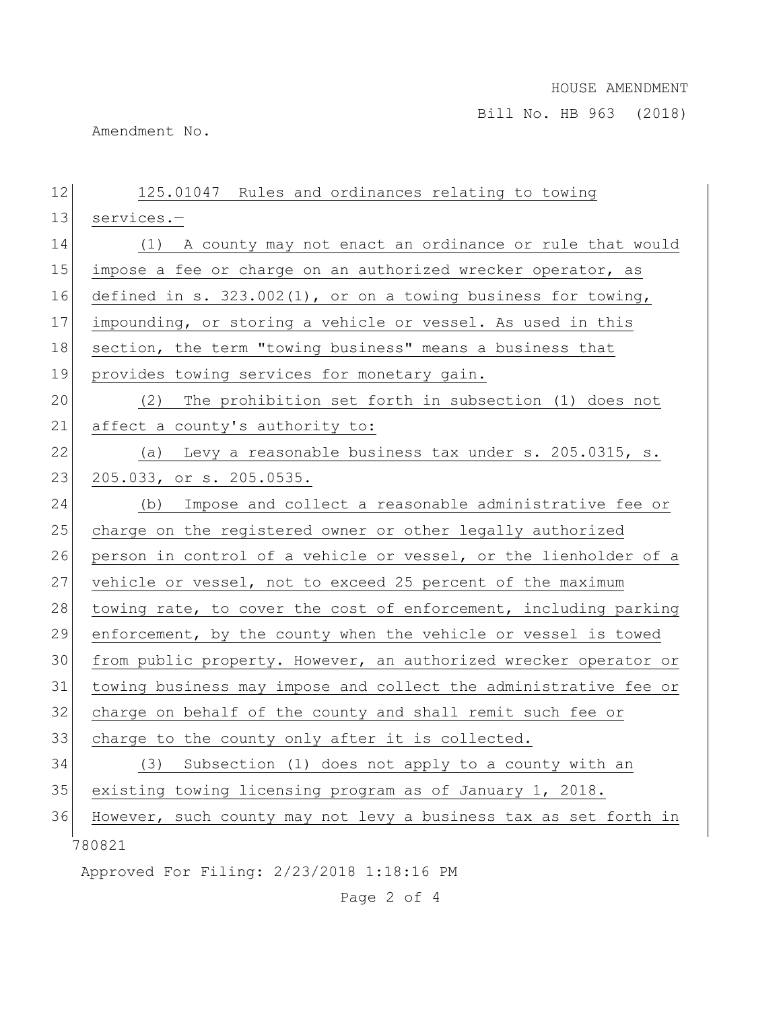Bill No. HB 963 (2018)

Amendment No.

| 12 | 125.01047 Rules and ordinances relating to towing                |
|----|------------------------------------------------------------------|
| 13 | services.-                                                       |
| 14 | (1) A county may not enact an ordinance or rule that would       |
| 15 | impose a fee or charge on an authorized wrecker operator, as     |
| 16 | defined in s. $323.002(1)$ , or on a towing business for towing, |
| 17 | impounding, or storing a vehicle or vessel. As used in this      |
| 18 | section, the term "towing business" means a business that        |
| 19 | provides towing services for monetary gain.                      |
| 20 | The prohibition set forth in subsection (1) does not<br>(2)      |
| 21 | affect a county's authority to:                                  |
| 22 | Levy a reasonable business tax under s. 205.0315, s.<br>(a)      |
| 23 | 205.033, or s. 205.0535.                                         |
| 24 | (b) Impose and collect a reasonable administrative fee or        |
| 25 | charge on the registered owner or other legally authorized       |
| 26 | person in control of a vehicle or vessel, or the lienholder of a |
| 27 | vehicle or vessel, not to exceed 25 percent of the maximum       |
| 28 | towing rate, to cover the cost of enforcement, including parking |
| 29 | enforcement, by the county when the vehicle or vessel is towed   |
| 30 | from public property. However, an authorized wrecker operator or |
| 31 | towing business may impose and collect the administrative fee or |
| 32 | charge on behalf of the county and shall remit such fee or       |
| 33 | charge to the county only after it is collected.                 |
| 34 | (3)<br>Subsection (1) does not apply to a county with an         |
| 35 | existing towing licensing program as of January 1, 2018.         |
| 36 | However, such county may not levy a business tax as set forth in |
|    | 780821                                                           |
|    | Approved For Filing: 2/23/2018 1:18:16 PM                        |

Page 2 of 4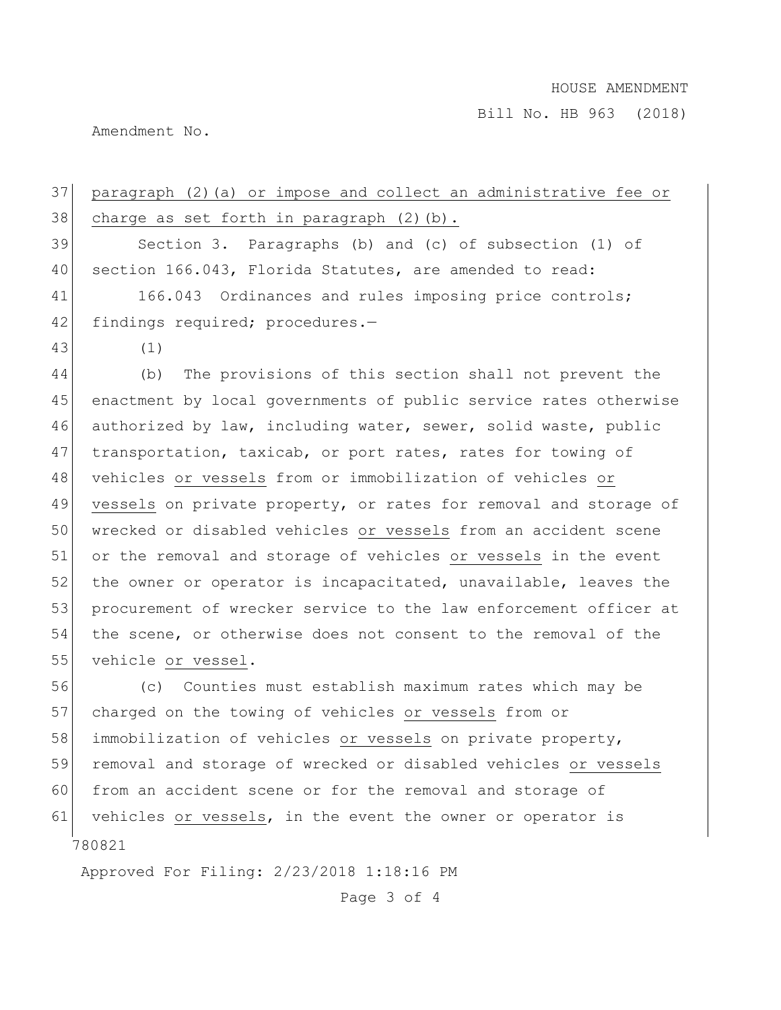Bill No. HB 963 (2018)

Amendment No.

37 paragraph (2)(a) or impose and collect an administrative fee or  $38$  charge as set forth in paragraph  $(2)$  (b). 39 Section 3. Paragraphs (b) and (c) of subsection (1) of 40 section 166.043, Florida Statutes, are amended to read: 41 166.043 Ordinances and rules imposing price controls; 42 findings required; procedures.-43 (1) 44 (b) The provisions of this section shall not prevent the 45 enactment by local governments of public service rates otherwise 46 authorized by law, including water, sewer, solid waste, public 47 transportation, taxicab, or port rates, rates for towing of 48 vehicles or vessels from or immobilization of vehicles or 49 vessels on private property, or rates for removal and storage of 50 wrecked or disabled vehicles or vessels from an accident scene 51 or the removal and storage of vehicles or vessels in the event 52 the owner or operator is incapacitated, unavailable, leaves the 53 procurement of wrecker service to the law enforcement officer at 54 the scene, or otherwise does not consent to the removal of the 55 vehicle or vessel. 56 (c) Counties must establish maximum rates which may be 57 charged on the towing of vehicles or vessels from or 58 immobilization of vehicles or vessels on private property, 59 removal and storage of wrecked or disabled vehicles or vessels 60 from an accident scene or for the removal and storage of 61 vehicles or vessels, in the event the owner or operator is

780821

Approved For Filing: 2/23/2018 1:18:16 PM

Page 3 of 4